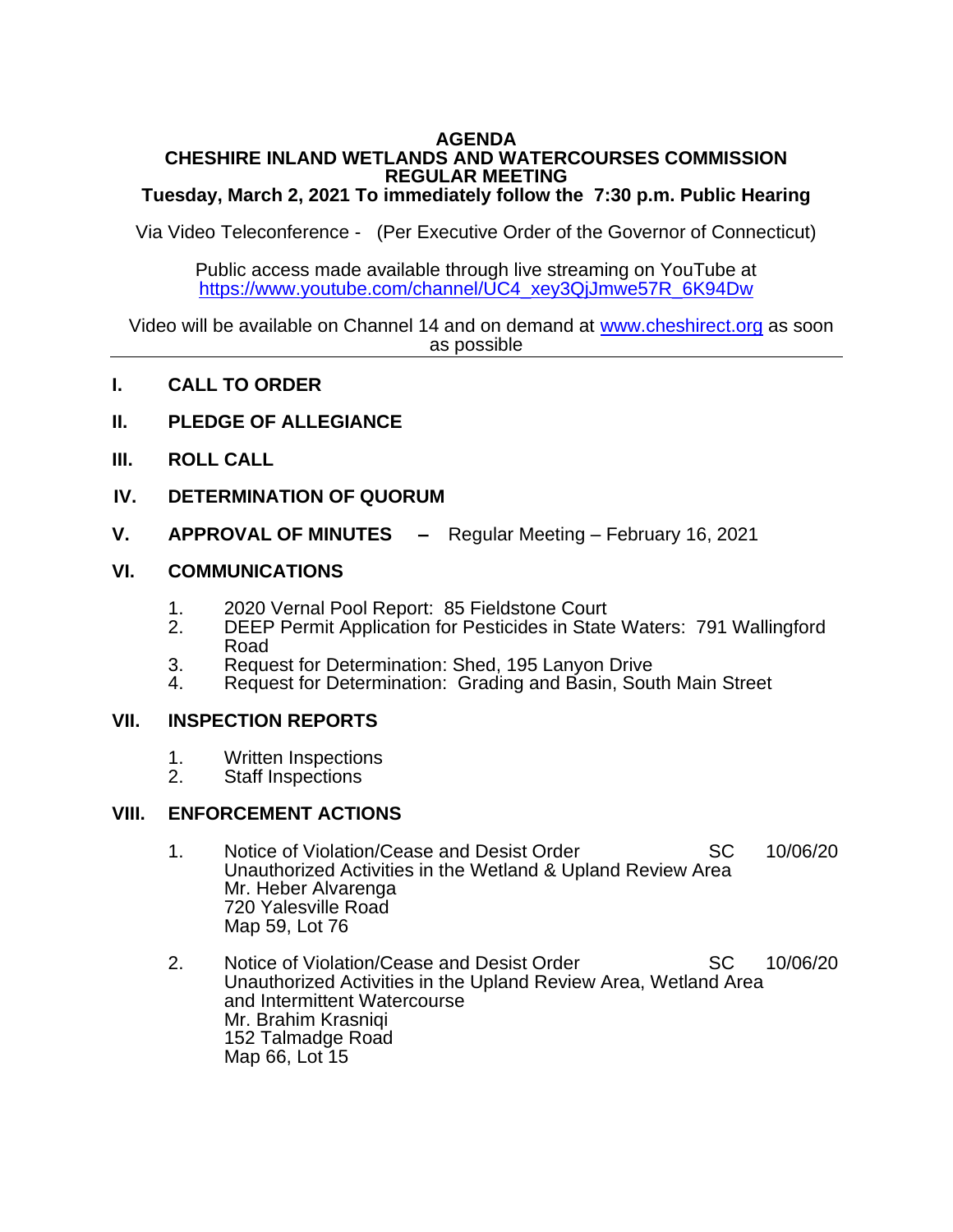### **AGENDA CHESHIRE INLAND WETLANDS AND WATERCOURSES COMMISSION REGULAR MEETING**

### **Tuesday, March 2, 2021 To immediately follow the 7:30 p.m. Public Hearing**

Via Video Teleconference - (Per Executive Order of the Governor of Connecticut)

Public access made available through live streaming on YouTube at [https://www.youtube.com/channel/UC4\\_xey3QjJmwe57R\\_6K94Dw](https://www.youtube.com/channel/UC4_xey3QjJmwe57R_6K94Dw)

 Video will be available on Channel 14 and on demand at [www.cheshirect.org](http://www.cheshirect.org/) as soon as possible

- **I. CALL TO ORDER**
- **II. PLEDGE OF ALLEGIANCE**
- **III. ROLL CALL**
- **IV. DETERMINATION OF QUORUM**
- **V. APPROVAL OF MINUTES –** Regular Meeting February 16, 2021

### **VI. COMMUNICATIONS**

- 1. 2020 Vernal Pool Report: 85 Fieldstone Court<br>2. DEEP Permit Application for Pesticides in State
- DEEP Permit Application for Pesticides in State Waters: 791 Wallingford Road

Ī

- 3. Request for Determination: Shed, 195 Lanyon Drive<br>4. Request for Determination: Grading and Basin, Sour
- 4. Request for Determination: Grading and Basin, South Main Street

#### **VII. INSPECTION REPORTS**

- 1. Written Inspections
- 2. Staff Inspections

#### **VIII. ENFORCEMENT ACTIONS**

- 1. Notice of Violation/Cease and Desist Order SC 10/06/20 Unauthorized Activities in the Wetland & Upland Review Area Mr. Heber Alvarenga 720 Yalesville Road Map 59, Lot 76
- 2. Notice of Violation/Cease and Desist Order SC 10/06/20 Unauthorized Activities in the Upland Review Area, Wetland Area and Intermittent Watercourse Mr. Brahim Krasniqi 152 Talmadge Road Map 66, Lot 15